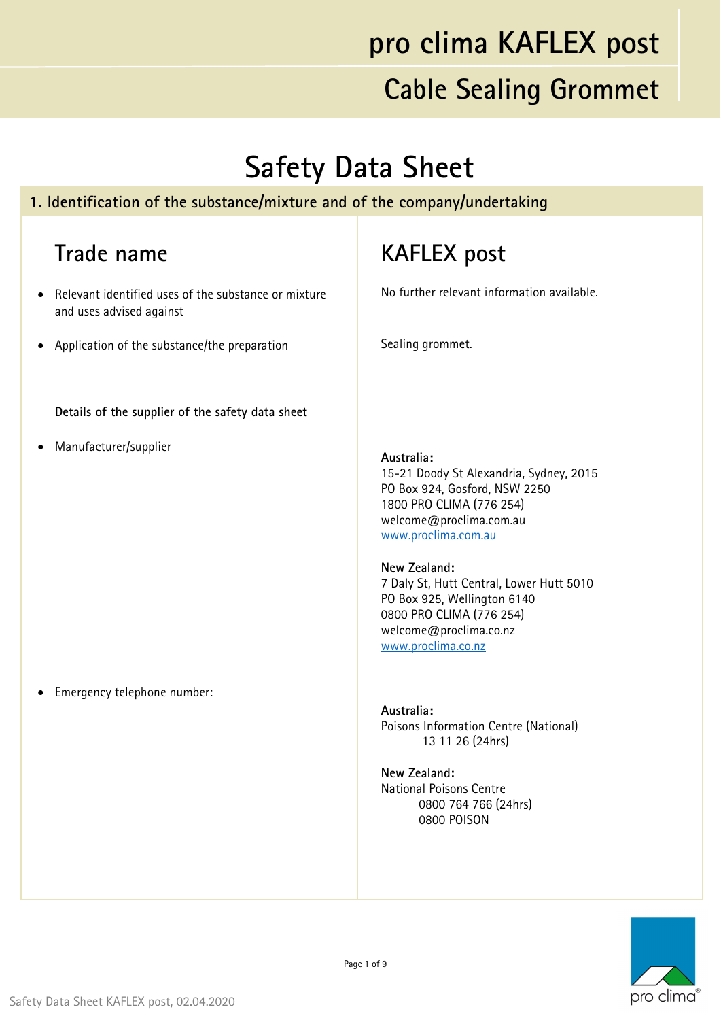#### **Safety Data Sheet**

#### **1. Identification of the substance/mixture and of the company/undertaking**

#### **Trade name**

- Relevant identified uses of the substance or mixture and uses advised against
- Application of the substance/the preparation

**Details of the supplier of the safety data sheet**

Manufacturer/supplier

#### **KAFLEX post**

No further relevant information available.

Sealing grommet.

#### **Australia:**

15-21 Doody St Alexandria, Sydney, 2015 PO Box 924, Gosford, NSW 2250 1800 PRO CLIMA (776 254) welcome@proclima.com.au www.proclima.com.au

#### **New Zealand:**

7 Daly St, Hutt Central, Lower Hutt 5010 PO Box 925, Wellington 6140 0800 PRO CLIMA (776 254) welcome@proclima.co.nz www.proclima.co.nz

**Australia:**  Poisons Information Centre (National) 13 11 26 (24hrs)

**New Zealand:**  National Poisons Centre 0800 764 766 (24hrs) 0800 POISON



Emergency telephone number: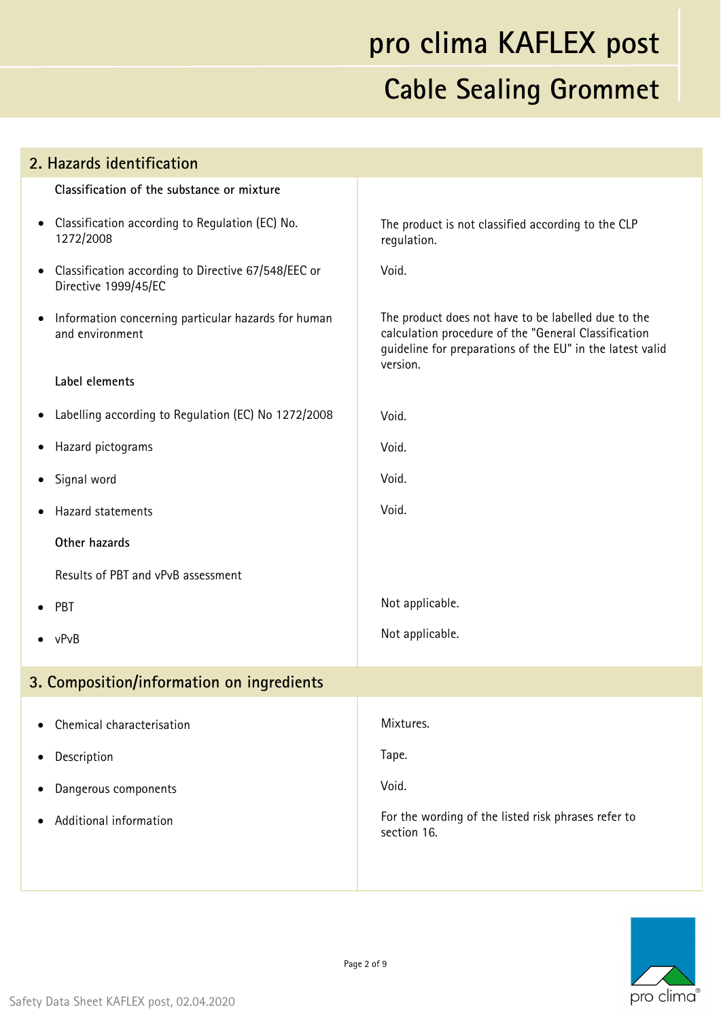| 2. Hazards identification                                                                |                                                                                                                                                                                      |  |
|------------------------------------------------------------------------------------------|--------------------------------------------------------------------------------------------------------------------------------------------------------------------------------------|--|
| Classification of the substance or mixture                                               |                                                                                                                                                                                      |  |
| Classification according to Regulation (EC) No.<br>$\bullet$<br>1272/2008                | The product is not classified according to the CLP<br>regulation.                                                                                                                    |  |
| Classification according to Directive 67/548/EEC or<br>$\bullet$<br>Directive 1999/45/EC | Void.                                                                                                                                                                                |  |
| Information concerning particular hazards for human<br>$\bullet$<br>and environment      | The product does not have to be labelled due to the<br>calculation procedure of the "General Classification<br>guideline for preparations of the EU" in the latest valid<br>version. |  |
| Label elements                                                                           |                                                                                                                                                                                      |  |
| Labelling according to Regulation (EC) No 1272/2008<br>٠                                 | Void.                                                                                                                                                                                |  |
| Hazard pictograms<br>$\bullet$                                                           | Void.                                                                                                                                                                                |  |
| Signal word<br>٠                                                                         | Void.                                                                                                                                                                                |  |
| Hazard statements                                                                        | Void.                                                                                                                                                                                |  |
| Other hazards                                                                            |                                                                                                                                                                                      |  |
| Results of PBT and vPvB assessment                                                       |                                                                                                                                                                                      |  |
| PBT                                                                                      | Not applicable.                                                                                                                                                                      |  |
| $\bullet$ vPvB                                                                           | Not applicable.                                                                                                                                                                      |  |
| 3. Composition/information on ingredients                                                |                                                                                                                                                                                      |  |
| Chemical characterisation                                                                | Mixtures.                                                                                                                                                                            |  |
| Description                                                                              | Tape.                                                                                                                                                                                |  |
| Dangerous components                                                                     | Void.                                                                                                                                                                                |  |
| Additional information                                                                   | For the wording of the listed risk phrases refer to<br>section 16.                                                                                                                   |  |
|                                                                                          |                                                                                                                                                                                      |  |

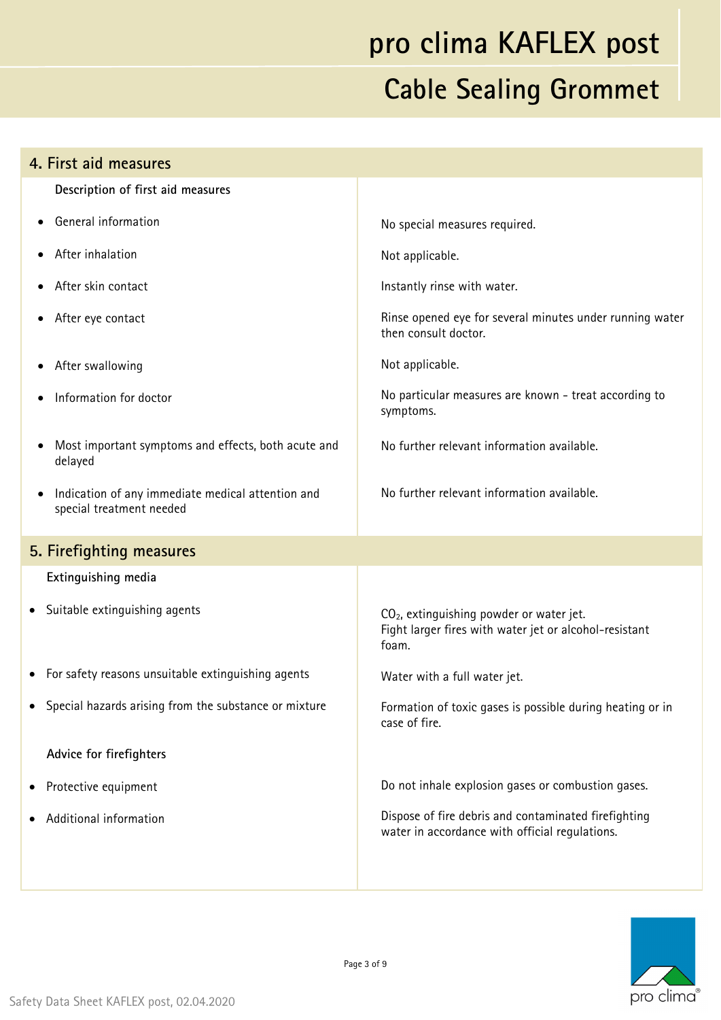| 4. First aid measures                                                                      |                                                                                                                         |
|--------------------------------------------------------------------------------------------|-------------------------------------------------------------------------------------------------------------------------|
| Description of first aid measures                                                          |                                                                                                                         |
| General information                                                                        | No special measures required.                                                                                           |
| After inhalation                                                                           | Not applicable.                                                                                                         |
| After skin contact                                                                         | Instantly rinse with water.                                                                                             |
| After eye contact<br>$\bullet$                                                             | Rinse opened eye for several minutes under running water<br>then consult doctor.                                        |
| After swallowing                                                                           | Not applicable.                                                                                                         |
| Information for doctor                                                                     | No particular measures are known - treat according to<br>symptoms.                                                      |
| Most important symptoms and effects, both acute and<br>delayed                             | No further relevant information available.                                                                              |
| Indication of any immediate medical attention and<br>$\bullet$<br>special treatment needed | No further relevant information available.                                                                              |
| 5. Firefighting measures                                                                   |                                                                                                                         |
| Extinguishing media                                                                        |                                                                                                                         |
| • Suitable extinguishing agents                                                            | CO <sub>2</sub> , extinguishing powder or water jet.<br>Fight larger fires with water jet or alcohol-resistant<br>foam. |
| For safety reasons unsuitable extinguishing agents                                         | Water with a full water jet.                                                                                            |
| • Special hazards arising from the substance or mixture                                    | Formation of toxic gases is possible during heating or in<br>case of fire.                                              |
| Advice for firefighters                                                                    |                                                                                                                         |
| Protective equipment<br>$\bullet$                                                          | Do not inhale explosion gases or combustion gases.                                                                      |
| Additional information                                                                     | Dispose of fire debris and contaminated firefighting<br>water in accordance with official regulations.                  |
|                                                                                            |                                                                                                                         |

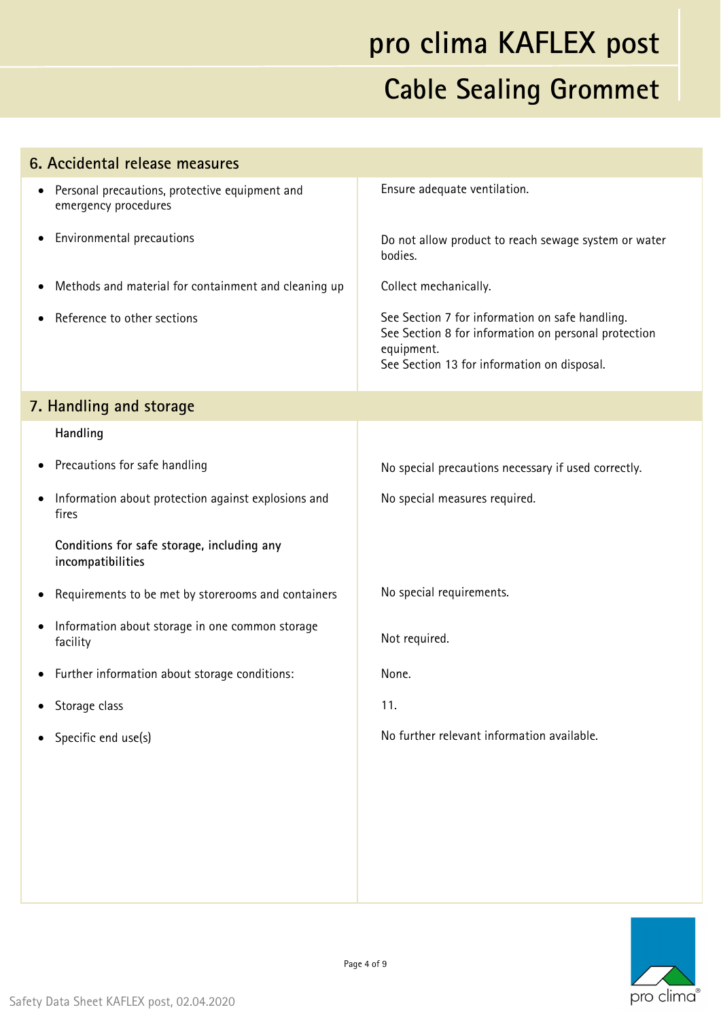| 6. Accidental release measures                                                      |                                                                                                                                                                      |
|-------------------------------------------------------------------------------------|----------------------------------------------------------------------------------------------------------------------------------------------------------------------|
| Personal precautions, protective equipment and<br>$\bullet$<br>emergency procedures | Ensure adequate ventilation.                                                                                                                                         |
| Environmental precautions<br>$\bullet$                                              | Do not allow product to reach sewage system or water<br>bodies.                                                                                                      |
| Methods and material for containment and cleaning up                                | Collect mechanically.                                                                                                                                                |
| Reference to other sections                                                         | See Section 7 for information on safe handling.<br>See Section 8 for information on personal protection<br>equipment.<br>See Section 13 for information on disposal. |
| 7. Handling and storage                                                             |                                                                                                                                                                      |
| Handling                                                                            |                                                                                                                                                                      |
| Precautions for safe handling<br>$\bullet$                                          | No special precautions necessary if used correctly.                                                                                                                  |
| Information about protection against explosions and<br>fires                        | No special measures required.                                                                                                                                        |
| Conditions for safe storage, including any<br>incompatibilities                     |                                                                                                                                                                      |
| Requirements to be met by storerooms and containers                                 | No special requirements.                                                                                                                                             |
| Information about storage in one common storage<br>facility                         | Not required.                                                                                                                                                        |
| • Further information about storage conditions:                                     | None.                                                                                                                                                                |
| Storage class                                                                       | 11.                                                                                                                                                                  |
| Specific end use(s)<br>$\bullet$                                                    | No further relevant information available.                                                                                                                           |
|                                                                                     |                                                                                                                                                                      |
|                                                                                     |                                                                                                                                                                      |
|                                                                                     |                                                                                                                                                                      |

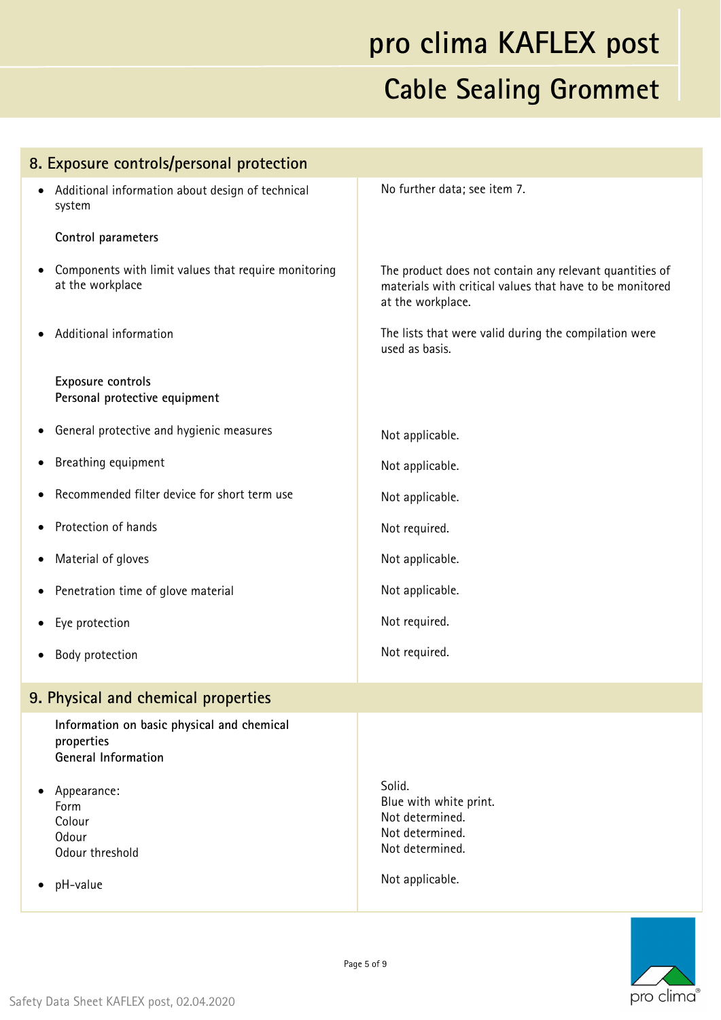| 8. Exposure controls/personal protection                                               |                                                                                                                                          |  |
|----------------------------------------------------------------------------------------|------------------------------------------------------------------------------------------------------------------------------------------|--|
| Additional information about design of technical<br>$\bullet$<br>system                | No further data; see item 7.                                                                                                             |  |
| Control parameters                                                                     |                                                                                                                                          |  |
| Components with limit values that require monitoring<br>٠<br>at the workplace          | The product does not contain any relevant quantities of<br>materials with critical values that have to be monitored<br>at the workplace. |  |
| Additional information                                                                 | The lists that were valid during the compilation were<br>used as basis.                                                                  |  |
| <b>Exposure controls</b><br>Personal protective equipment                              |                                                                                                                                          |  |
| General protective and hygienic measures                                               | Not applicable.                                                                                                                          |  |
| Breathing equipment<br>$\bullet$                                                       | Not applicable.                                                                                                                          |  |
| Recommended filter device for short term use                                           | Not applicable.                                                                                                                          |  |
| Protection of hands<br>$\bullet$                                                       | Not required.                                                                                                                            |  |
| Material of gloves<br>٠                                                                | Not applicable.                                                                                                                          |  |
| Penetration time of glove material<br>٠                                                | Not applicable.                                                                                                                          |  |
| Eye protection                                                                         | Not required.                                                                                                                            |  |
| Body protection                                                                        | Not required.                                                                                                                            |  |
| 9. Physical and chemical properties                                                    |                                                                                                                                          |  |
| Information on basic physical and chemical<br>properties<br><b>General Information</b> |                                                                                                                                          |  |
| Appearance:<br>Form<br>Colour<br><b>Odour</b><br>Odour threshold                       | Solid.<br>Blue with white print.<br>Not determined.<br>Not determined.<br>Not determined.                                                |  |
| pH-value                                                                               | Not applicable.                                                                                                                          |  |
|                                                                                        |                                                                                                                                          |  |

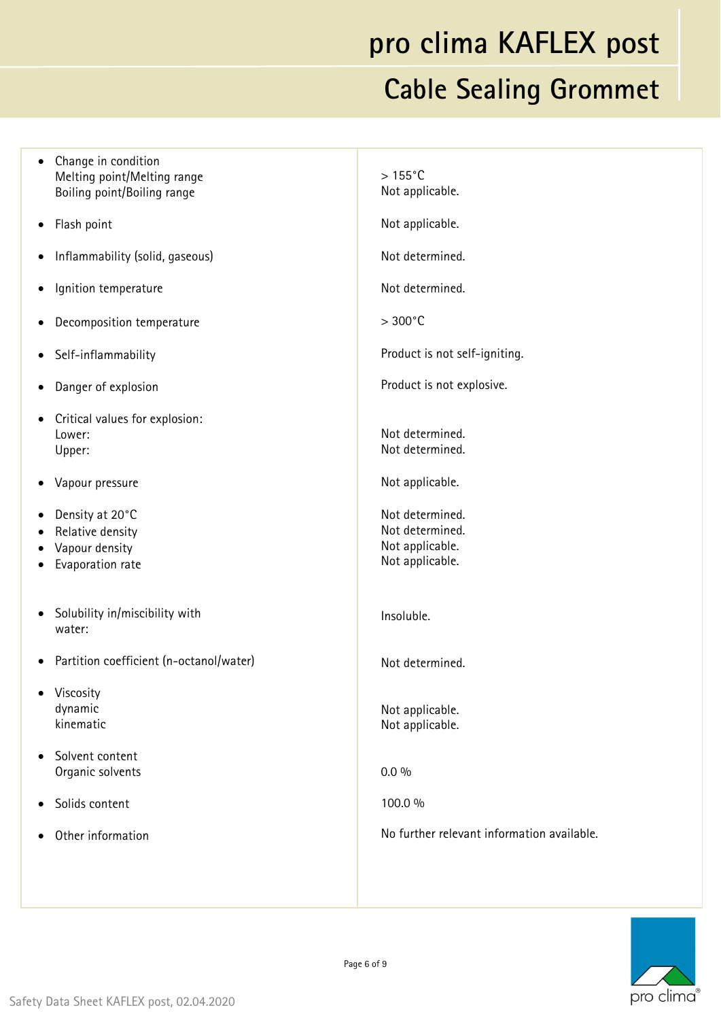• Change in condition Melting point/Melting range Boiling point/Boiling range Flash point Inflammability (solid, gaseous) Ignition temperature Decomposition temperature • Self-inflammability Danger of explosion Critical values for explosion: Lower: Upper: Vapour pressure Density at 20°C Relative density Vapour density Evaporation rate • Solubility in/miscibility with water: Partition coefficient (n-octanol/water) • Viscosity dynamic kinematic Solvent content Organic solvents Solids content Other information  $> 155^{\circ}$ C Not applicable. Not applicable. Not determined. Not determined.  $> 300^{\circ}$ C Product is not self-igniting. Product is not explosive. Not determined. Not determined. Not applicable. Not determined. Not determined. Not applicable. Not applicable. Insoluble. Not determined. Not applicable. Not applicable. 0.0 % 100.0 % No further relevant information available.

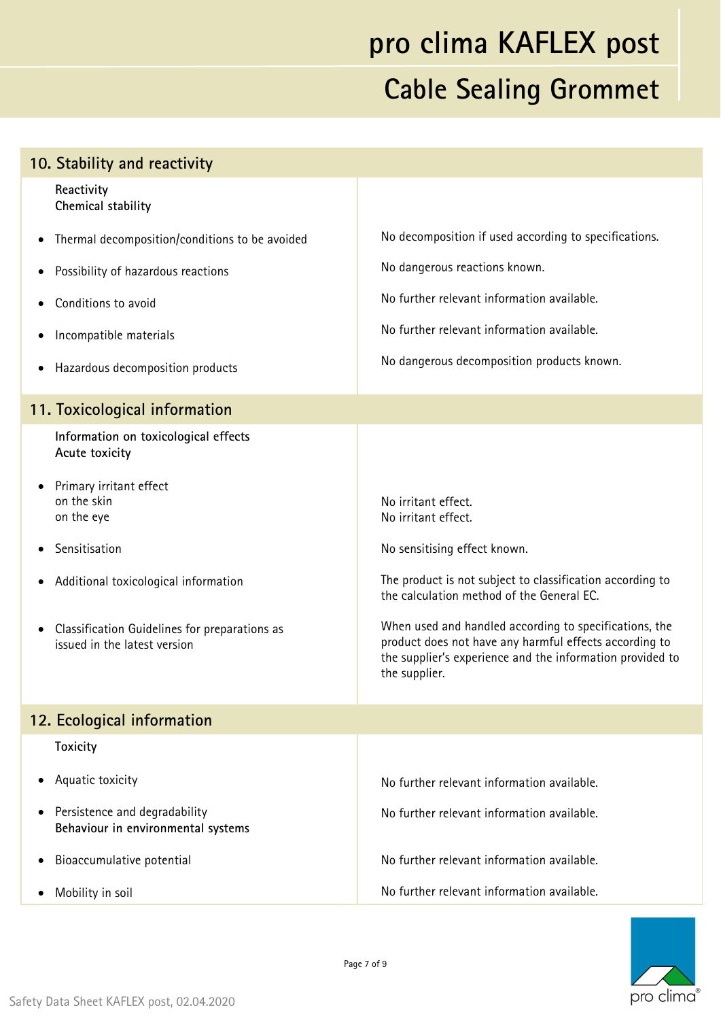| 10. Stability and reactivity                                                               |                                                                                                                                                                                                |
|--------------------------------------------------------------------------------------------|------------------------------------------------------------------------------------------------------------------------------------------------------------------------------------------------|
| Reactivity<br>Chemical stability                                                           |                                                                                                                                                                                                |
| Thermal decomposition/conditions to be avoided<br>$\bullet$                                | No decomposition if used according to specifications.                                                                                                                                          |
| Possibility of hazardous reactions<br>٠                                                    | No dangerous reactions known.                                                                                                                                                                  |
| Conditions to avoid                                                                        | No further relevant information available.                                                                                                                                                     |
| Incompatible materials<br>٠                                                                | No further relevant information available.                                                                                                                                                     |
| Hazardous decomposition products<br>٠                                                      | No dangerous decomposition products known.                                                                                                                                                     |
| 11. Toxicological information                                                              |                                                                                                                                                                                                |
| Information on toxicological effects<br>Acute toxicity                                     |                                                                                                                                                                                                |
| Primary irritant effect<br>on the skin<br>on the eye                                       | No irritant effect.<br>No irritant effect.                                                                                                                                                     |
| Sensitisation                                                                              | No sensitising effect known.                                                                                                                                                                   |
| Additional toxicological information                                                       | The product is not subject to classification according to<br>the calculation method of the General EC.                                                                                         |
| Classification Guidelines for preparations as<br>$\bullet$<br>issued in the latest version | When used and handled according to specifications, the<br>product does not have any harmful effects according to<br>the supplier's experience and the information provided to<br>the supplier. |
| 12. Ecological information                                                                 |                                                                                                                                                                                                |
| <b>Toxicity</b>                                                                            |                                                                                                                                                                                                |
| Aquatic toxicity                                                                           | No further relevant information available.                                                                                                                                                     |
| Persistence and degradability<br>٠<br>Behaviour in environmental systems                   | No further relevant information available.                                                                                                                                                     |
| Bioaccumulative potential<br>٠                                                             | No further relevant information available.                                                                                                                                                     |
| Mobility in soil                                                                           | No further relevant information available.                                                                                                                                                     |

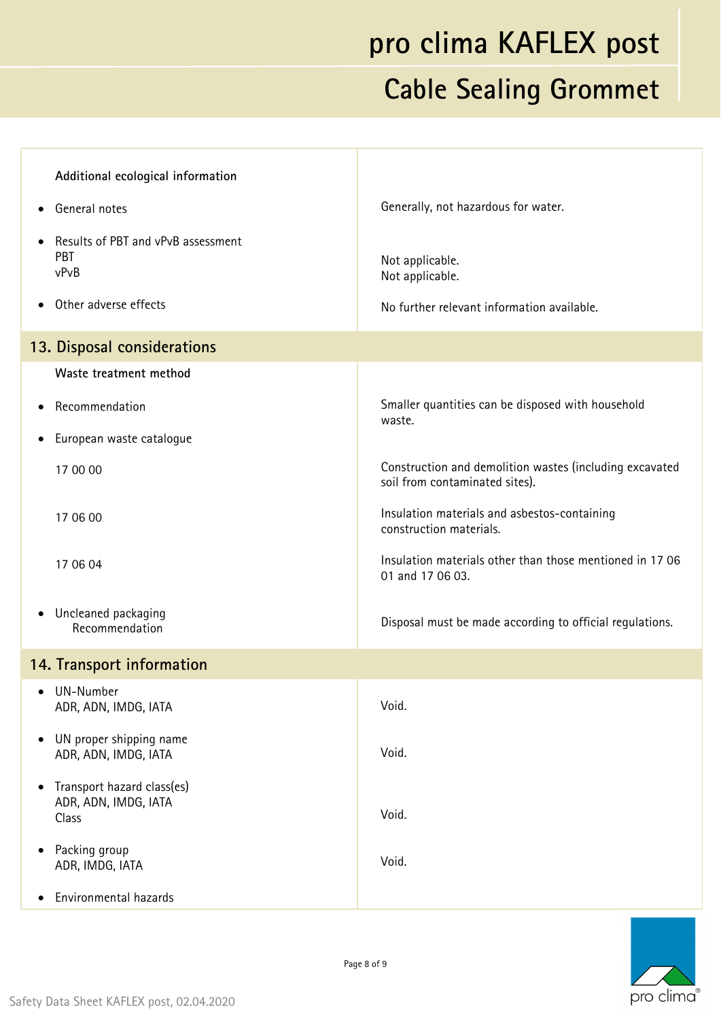| Additional ecological information                                        |                                                                                           |
|--------------------------------------------------------------------------|-------------------------------------------------------------------------------------------|
| General notes                                                            | Generally, not hazardous for water.                                                       |
| Results of PBT and vPvB assessment<br><b>PBT</b><br>vPvB                 | Not applicable.<br>Not applicable.                                                        |
| Other adverse effects<br>$\bullet$                                       | No further relevant information available.                                                |
| 13. Disposal considerations                                              |                                                                                           |
| Waste treatment method                                                   |                                                                                           |
| Recommendation<br>٠                                                      | Smaller quantities can be disposed with household<br>waste.                               |
| European waste catalogue                                                 |                                                                                           |
| 17 00 00                                                                 | Construction and demolition wastes (including excavated<br>soil from contaminated sites). |
| 17 06 00                                                                 | Insulation materials and asbestos-containing<br>construction materials.                   |
| 17 06 04                                                                 | Insulation materials other than those mentioned in 17 06<br>01 and 17 06 03.              |
| • Uncleaned packaging<br>Recommendation                                  | Disposal must be made according to official regulations.                                  |
| 14. Transport information                                                |                                                                                           |
| • UN-Number<br>ADR, ADN, IMDG, IATA                                      | Void.                                                                                     |
| UN proper shipping name<br>٠<br>ADR, ADN, IMDG, IATA                     | Void.                                                                                     |
| Transport hazard class(es)<br>$\bullet$<br>ADR, ADN, IMDG, IATA<br>Class | Void.                                                                                     |
| Packing group<br>$\bullet$<br>ADR, IMDG, IATA                            | Void.                                                                                     |
| Environmental hazards                                                    |                                                                                           |